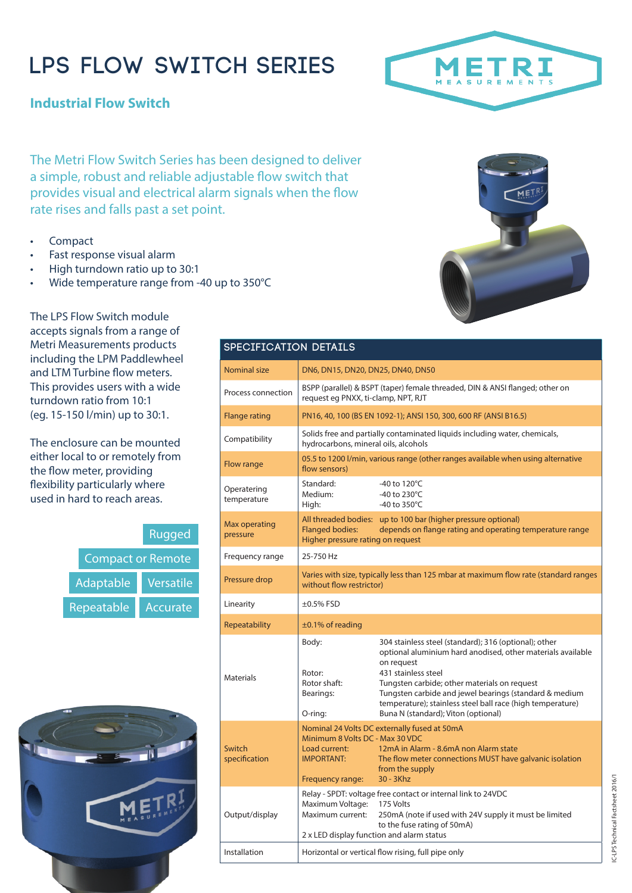# **LPS FLOW SWITCH SERIES**

**Industrial Flow Switch**

The Metri Flow Switch Series has been designed to deliver a simple, robust and reliable adjustable flow switch that provides visual and electrical alarm signals when the flow rate rises and falls past a set point.

- **Compact**
- Fast response visual alarm
- High turndown ratio up to 30:1
- Wide temperature range from -40 up to 350°C

The LPS Flow Switch module accepts signals from a range of Metri Measurements products including the LPM Paddlewheel and LTM Turbine flow meters. This provides users with a wide turndown ratio from 10:1 (eg. 15-150 l/min) up to 30:1.

The enclosure can be mounted either local to or remotely from the flow meter, providing flexibility particularly where used in hard to reach areas.

|                          | <b>Rugged</b> |  |  |  |
|--------------------------|---------------|--|--|--|
| <b>Compact or Remote</b> |               |  |  |  |
| Adaptable                | Versatile     |  |  |  |
| Repeatable               | Accurate      |  |  |  |



#### **SPECIFICATION DETAILS**

| Nominal size               | DN6, DN15, DN20, DN25, DN40, DN50                                                                                                                                                        |                                                                                                                                                                                                                                                                                                                                                                          |  |  |  |
|----------------------------|------------------------------------------------------------------------------------------------------------------------------------------------------------------------------------------|--------------------------------------------------------------------------------------------------------------------------------------------------------------------------------------------------------------------------------------------------------------------------------------------------------------------------------------------------------------------------|--|--|--|
| Process connection         | BSPP (parallel) & BSPT (taper) female threaded, DIN & ANSI flanged; other on<br>request eq PNXX, ti-clamp, NPT, RJT                                                                      |                                                                                                                                                                                                                                                                                                                                                                          |  |  |  |
| <b>Flange rating</b>       | PN16, 40, 100 (BS EN 1092-1); ANSI 150, 300, 600 RF (ANSI B16.5)                                                                                                                         |                                                                                                                                                                                                                                                                                                                                                                          |  |  |  |
| Compatibility              | Solids free and partially contaminated liquids including water, chemicals,<br>hydrocarbons, mineral oils, alcohols                                                                       |                                                                                                                                                                                                                                                                                                                                                                          |  |  |  |
| Flow range                 | 05.5 to 1200 l/min, various range (other ranges available when using alternative<br>flow sensors)                                                                                        |                                                                                                                                                                                                                                                                                                                                                                          |  |  |  |
| Operatering<br>temperature | Standard:<br>Medium:<br>High:                                                                                                                                                            | -40 to $120^{\circ}$ C<br>-40 to 230°C<br>-40 to $350^{\circ}$ C                                                                                                                                                                                                                                                                                                         |  |  |  |
| Max operating<br>pressure  | All threaded bodies: up to 100 bar (higher pressure optional)<br><b>Flanged bodies:</b><br>depends on flange rating and operating temperature range<br>Higher pressure rating on request |                                                                                                                                                                                                                                                                                                                                                                          |  |  |  |
| Frequency range            | 25-750 Hz                                                                                                                                                                                |                                                                                                                                                                                                                                                                                                                                                                          |  |  |  |
| Pressure drop              | Varies with size, typically less than 125 mbar at maximum flow rate (standard ranges<br>without flow restrictor)                                                                         |                                                                                                                                                                                                                                                                                                                                                                          |  |  |  |
| Linearity                  | $\pm 0.5\%$ FSD                                                                                                                                                                          |                                                                                                                                                                                                                                                                                                                                                                          |  |  |  |
| Repeatability              | $\pm$ 0.1% of reading                                                                                                                                                                    |                                                                                                                                                                                                                                                                                                                                                                          |  |  |  |
| <b>Materials</b>           | Body:<br>Rotor:<br>Rotor shaft:<br>Bearings:<br>O-ring:                                                                                                                                  | 304 stainless steel (standard); 316 (optional); other<br>optional aluminium hard anodised, other materials available<br>on request<br>431 stainless steel<br>Tungsten carbide; other materials on request<br>Tungsten carbide and jewel bearings (standard & medium<br>temperature); stainless steel ball race (high temperature)<br>Buna N (standard); Viton (optional) |  |  |  |
| Switch<br>specification    | Minimum 8 Volts DC - Max 30 VDC<br>Load current:<br><b>IMPORTANT:</b><br>Frequency range:                                                                                                | Nominal 24 Volts DC externally fused at 50mA<br>12mA in Alarm - 8.6mA non Alarm state<br>The flow meter connections MUST have galvanic isolation<br>from the supply<br>$30 - 3Khz$                                                                                                                                                                                       |  |  |  |
| Output/display             | Maximum Voltage:<br>Maximum current:<br>2 x LED display function and alarm status                                                                                                        | Relay - SPDT: voltage free contact or internal link to 24VDC<br>175 Volts<br>250mA (note if used with 24V supply it must be limited<br>to the fuse rating of 50mA)                                                                                                                                                                                                       |  |  |  |
| Installation               | Horizontal or vertical flow rising, full pipe only                                                                                                                                       |                                                                                                                                                                                                                                                                                                                                                                          |  |  |  |